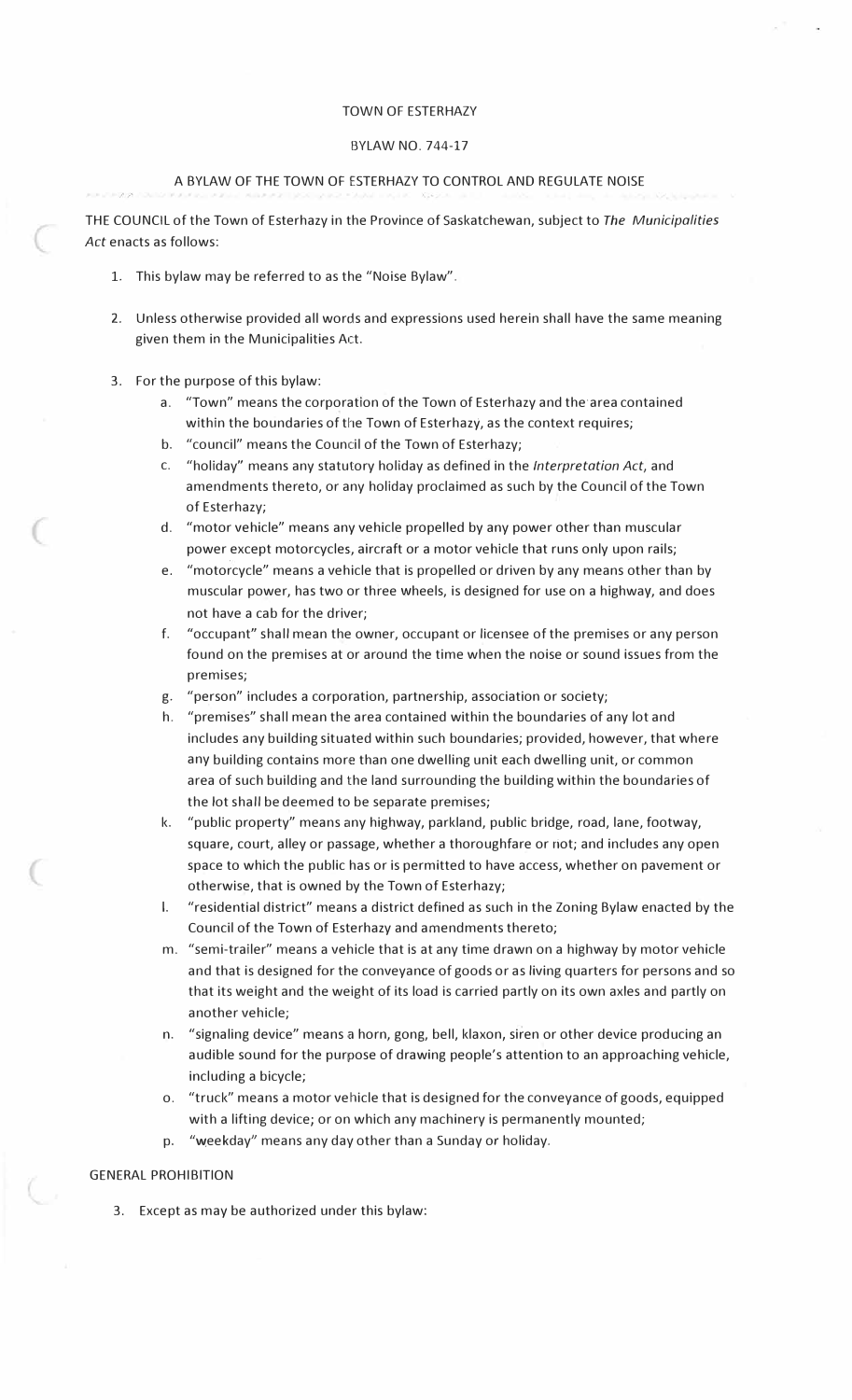#### TOWN OF ESTERHAZY

#### BYLAW NO. 744-17

## A BYLAW OF THE TOWN OF ESTERHAZY TO CONTROL AND REGULATE NOISE

THE COUNCIL of the Town of Esterhazy in the Province of Saskatchewan, subject to *The Municipalities*  Act enacts as follows:

- 1. This bylaw may be referred to as the "Noise Bylaw".
- 2. Unless otherwise provided all words and expressions used herein shall have the same meaning given them in the Municipalities Act.
- 3. For the purpose of this bylaw:
	- a. "Town" means the corporation of the Town of Esterhazy and the·area contained within the boundaries of the Town of Esterhazy, as the context requires;
	- b. "council" means the Council of the Town of Esterhazy;
	- c. "holiday" means any statutory holiday as defined in the *Interpretation Act,* and amendments thereto, or any holiday proclaimed as such by the Council of the Town of Esterhazy;
	- d. "motor vehicle" means any vehicle propelled by any power other than muscular power except motorcycles., aircraft or a motor vehicle that runs only upon rails;
	- e. "motorcycle" means a vehicle that is propelled or driven by any means other than by muscular power, has two or three wheels, is designed for use on a highway, and does not have a cab for the driver;
	- f. "occupant" shall mean the owner, occupant or licensee of the premises or any person found on the premises at or around the time when the noise or sound issues from the premises;
	- g. "person" includes a corporation, partnership, association or society;
	- h. "premises" shall mean the area contained within the boundaries of any lot and includes any building situated within such boundaries; provided, however, that where any building contains more than one dwelling unit each dwelling unit, or common area of such building and the land surrounding the building within the boundaries of the lot shall be deemed to be separate premises;
	- k. "public property" means any highway, parkland, public bridge, road, lane, footway, square, court, alley or passage, whether a thoroughfare or riot; and includes any open space to which the public has or is permitted to have access, whether on pavement or otherwise, that is owned by the Town of Esterhazy;
	- I. "residential district" means a district defined as such in the Zoning Bylaw enacted by the Council of the Town of Esterhazy and amendments thereto;
	- m. "semi-trailer" means a vehicle that is at any time drawn on a highway by motor vehicle and that is designed for the conveyance of goods or as living quarters for persons and so that its weight and the weight of its load is carried partly on its own axles and partly on another vehicle;
	- n. "signaling device" means a horn, gong, bell, klaxon, siren or other device producing an audible sound for the purpose of drawing people's attention to an approaching vehicle, including a bicycle;
	- o. "truck" means a motor vehicle that is designed for the conveyance of goods, equipped with a lifting device; or on which any machinery is permanently mounted;
	- p. "weekday" means any day other than a Sunday or holiday.

#### GENERAL PROHIBITION

3. Except as may be authorized under this bylaw: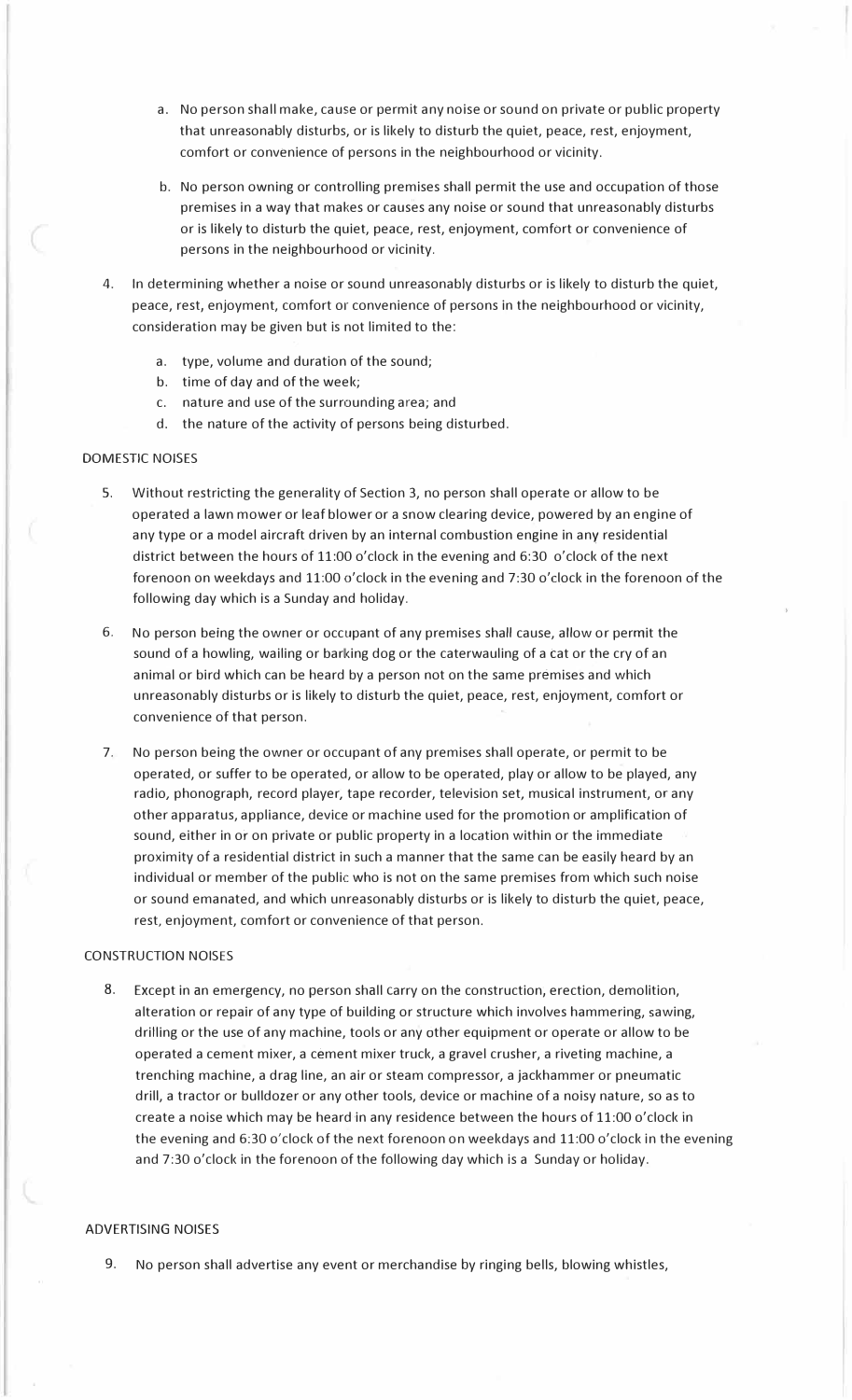- a. No person shall make, cause or permit any noise or sound on private or public property that unreasonably disturbs, or is likely to disturb the quiet, peace, rest, enjoyment, comfort or convenience of persons in the neighbourhood or vicinity.
- b. No person owning or controlling premises shall permit the use and occupation of those premises in a way that makes or causes any noise or sound that unreasonably disturbs or is likely to disturb the quiet, peace, rest, enjoyment, comfort or convenience of persons in the neighbourhood or vicinity.
- 4. In determining whether a noise or sound unreasonably disturbs or is likely to disturb the quiet, peace, rest, enjoyment, comfort or convenience of persons in the neighbourhood or vicinity, consideration may be given but is not limited to the:
	- a. type, volume and duration of the sound;
	- b. time of day and of the week;
	- c. nature and use of the surrounding area; and
	- d. the nature of the activity of persons being disturbed.

## DOMESTIC NOISES

- 5. Without restricting the generality of Section 3, no person shall operate or allow to be operated a lawn mower or leaf blower or a snow clearing device, powered by an engine of any type or a model aircraft driven by an internal combustion engine in any residential district between the hours of 11:00 o'clock in the evening and 6:30 o'clock of the next forenoon on weekdays and 11:00 o'clock in the evening and 7:30 o'dock in the forenoon of the following day which is a Sunday and holiday.
- 6. No person being the owner or occupant of any premises shall cause, allow or permit the sound of a howling, wailing or barking dog or the caterwauling of a cat or the cry of an animal or bird which can be heard by a person not on the same premises and which unreasonably disturbs or is likely to disturb the quiet, peace, rest, enjoyment, comfort or convenience of that person.
- 7. No person being the owner or occupant of any premises shall operate, or permit to be operated, or suffer to be operated, or allow to be operated, play or allow to be played, any radio, phonograph, record player, tape recorder, television set, musical instrument, or any other apparatus, appliance, device or machine used for the promotion or amplification of sound, either in or on private or public property in a location within or the immediate proximity of a residential district in such a manner that the same can be easily heard by an individual or member of the public who is not on the same premises from which such noise or sound emanated, and which unreasonably disturbs or is likely to disturb the quiet, peace, rest, enjoyment, comfort or convenience of that person.

#### CONSTRUCTION NOISES

8. Except in an emergency, no person shall carry on the construction, erection, demolition, alteration or repair of any type of building or structure which involves hammering, sawing, drilling or the use of any machine, tools or any other equipment or operate or allow to be operated a cement mixer, a cement mixer truck, a gravel crusher, a riveting machine, a trenching machine, a drag line, an air or steam compressor, a jackhammer or pneumatic drill, a tractor or bulldozer or any other tools, device or machine of a noisy nature, so as to create a noise which may be heard in any residence between the hours of 11:00 o'clock in the evening and 6:30 o'clock of the next forenoon on weekdays and 11:00 o'clock in the evening and 7:30 o'clock in the forenoon of the following day which is a Sunday or holiday.

### ADVERTISING NOISES

9. No person shall advertise any event or merchandise by ringing bells, blowing whistles,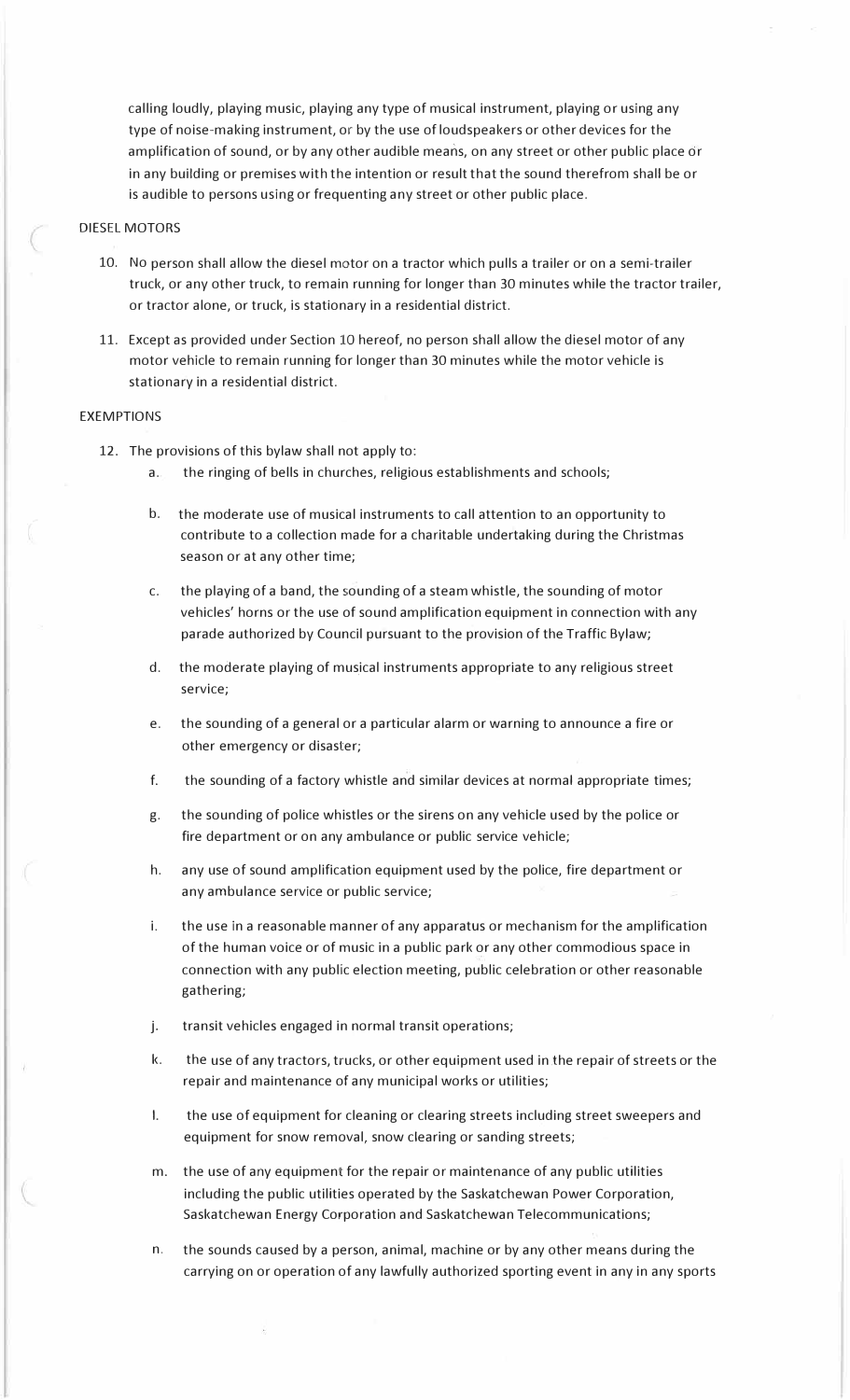calling loudly, playing music, playing any type of musical instrument, playing or using any type of noise-making instrument, or by the use of loudspeakers or other devices for the amplification of sound, or by any other audible means, on any street or other public place or in any building or premises with the intention or result that the sound therefrom shall be or is audible to persons using or frequenting any street or other public place.

### DIESEL MOTORS

- 10. No person shall allow the diesel motor on a tractor which pulls a trailer or on a semi-trailer truck, or any other truck, to remain running for longer than 30 minutes while the tractor trailer, or tractor alone, or truck, is stationary in a residential district.
- 11. Except as provided under Section 10 hereof, no person shall allow the diesel motor of any motor vehicle to remain running for longer than 30 minutes while the motor vehicle is stationary in a residential district.

#### EXEMPTIONS

- 12. The provisions of this bylaw shall not apply to:
	- a. the ringing of bells in churches, religious establishments and schools;
	- b. the moderate use of musical instruments to call attention to an opportunity to contribute to a collection made for a charitable undertaking during the Christmas season or at any other time;
	- c. the playing of a band, the sounding of a steam whistle, the sounding of motor vehicles' horns or the use of sound amplification equipment in connection with any parade authorized by Council pursuant to the provision of the Traffic Bylaw;
	- d. the moderate playing of musical instruments appropriate to any religious street service;
	- e. the sounding of a general or a particular alarm or warning to announce a fire or other emergency or disaster;
	- f. the sounding of a factory whistle and similar devices at normal appropriate times;
	- g. the sounding of police whistles or the sirens on any vehicle used by the police or fire department or on any ambulance or public service vehicle;
	- h. any use of sound amplification equipment used by the police, fire department or any ambulance service or public service;
	- i. the use in a reasonable manner of any apparatus or mechanism for the amplification of the human voice or of music in a public park or any other commodious space in connection with any public election meeting, public celebration or other reasonable gathering;
	- j. transit vehicles engaged in normal transit operations;
	- k. the use of any tractors, trucks, or other equipment used in the repair of streets or the repair and maintenance of any municipal works or utilities;
	- I. the use of equipment for cleaning or clearing streets including street sweepers and equipment for snow removal, snow clearing or sanding streets;
	- m. the use of any equipment for the repair or maintenance of any public utilities including the public utilities operated by the Saskatchewan Power Corporation, Saskatchewan Energy Corporation and Saskatchewan Telecommunications;
	- n. the sounds caused by a person, animal, machine or by any other means during the carrying on or operation of any lawfully authorized sporting event in any in any sports